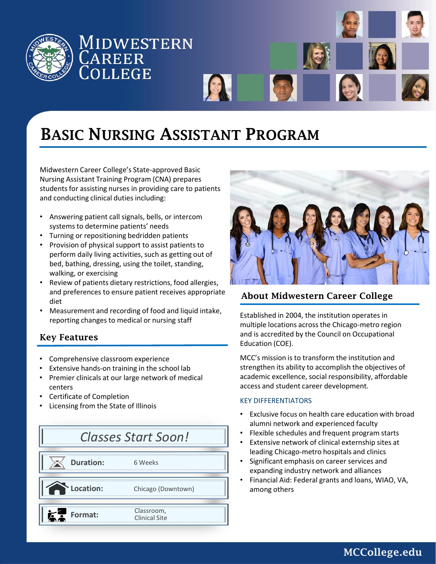

# 1IDWESTERN **AREER** OLLEGE



Midwestern Career College's State-approved Basic Nursing Assistant Training Program (CNA) prepares students for assisting nurses in providing care to patients and conducting clinical duties including:

- Answering patient call signals, bells, or intercom systems to determine patients' needs
- Turning or repositioning bedridden patients
- Provision of physical support to assist patients to perform daily living activities, such as getting out of bed, bathing, dressing, using the toilet, standing, walking, or exercising
- Review of patients dietary restrictions, food allergies, and preferences to ensure patient receives appropriate diet
- Measurement and recording of food and liquid intake, reporting changes to medical or nursing staff

### Key Features

- Comprehensive classroom experience
- Extensive hands-on training in the school lab
- Premier clinicals at our large network of medical centers
- Certificate of Completion
- Licensing from the State of Illinois





### About Midwestern Career College

Established in 2004, the institution operates in multiple locations across the Chicago-metro region and is accredited by the Council on Occupational Education (COE).

MCC's mission is to transform the institution and strengthen its ability to accomplish the objectives of academic excellence, social responsibility, affordable access and student career development.

#### KEY DIFFERENTIATORS

- Exclusive focus on health care education with broad alumni network and experienced faculty
- Flexible schedules and frequent program starts
- Extensive network of clinical externship sites at leading Chicago-metro hospitals and clinics
- Significant emphasis on career services and expanding industry network and alliances
- Financial Aid: Federal grants and loans, WIAO, VA, among others

MCCollege.edu